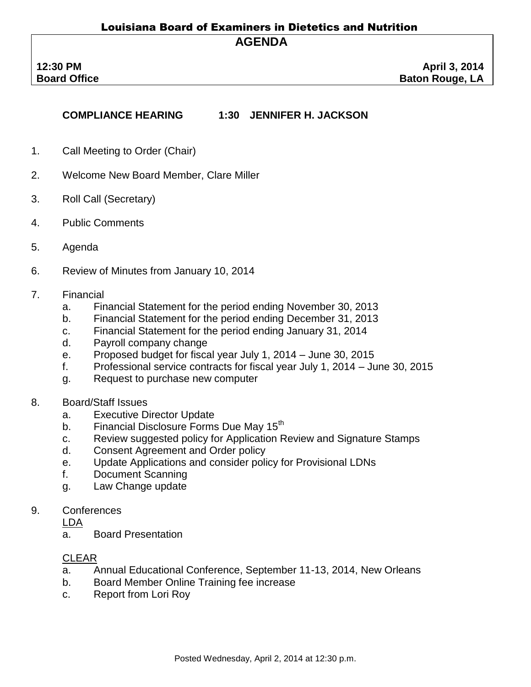## Louisiana Board of Examiners in Dietetics and Nutrition **AGENDA**

**COMPLIANCE HEARING 1:30 JENNIFER H. JACKSON**

- 1. Call Meeting to Order (Chair)
- 2. Welcome New Board Member, Clare Miller
- 3. Roll Call (Secretary)
- 4. Public Comments
- 5. Agenda
- 6. Review of Minutes from January 10, 2014
- 7. Financial
	- a. Financial Statement for the period ending November 30, 2013
	- b. Financial Statement for the period ending December 31, 2013
	- c. Financial Statement for the period ending January 31, 2014
	- d. Payroll company change
	- e. Proposed budget for fiscal year July 1, 2014 June 30, 2015
	- f. Professional service contracts for fiscal year July 1, 2014 June 30, 2015
	- g. Request to purchase new computer
- 8. Board/Staff Issues
	- a. Executive Director Update
	- b. Financial Disclosure Forms Due May 15<sup>th</sup>
	- c. Review suggested policy for Application Review and Signature Stamps
	- d. Consent Agreement and Order policy
	- e. Update Applications and consider policy for Provisional LDNs
	- f. Document Scanning
	- g. Law Change update
- 9. Conferences

LDA

a. Board Presentation

## CLEAR

- a. Annual Educational Conference, September 11-13, 2014, New Orleans
- b. Board Member Online Training fee increase
- c. Report from Lori Roy